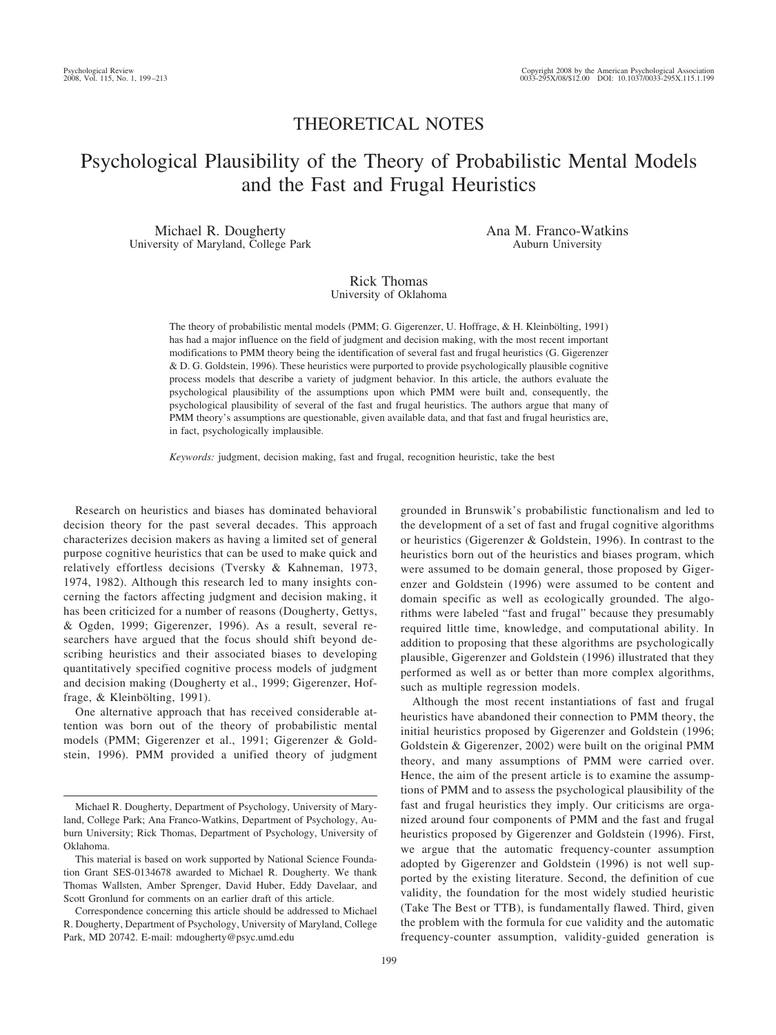## THEORETICAL NOTES

# Psychological Plausibility of the Theory of Probabilistic Mental Models and the Fast and Frugal Heuristics

Michael R. Dougherty University of Maryland, College Park Ana M. Franco-Watkins Auburn University

#### Rick Thomas University of Oklahoma

The theory of probabilistic mental models (PMM; G. Gigerenzer, U. Hoffrage, & H. Kleinbölting, 1991) has had a major influence on the field of judgment and decision making, with the most recent important modifications to PMM theory being the identification of several fast and frugal heuristics (G. Gigerenzer & D. G. Goldstein, 1996). These heuristics were purported to provide psychologically plausible cognitive process models that describe a variety of judgment behavior. In this article, the authors evaluate the psychological plausibility of the assumptions upon which PMM were built and, consequently, the psychological plausibility of several of the fast and frugal heuristics. The authors argue that many of PMM theory's assumptions are questionable, given available data, and that fast and frugal heuristics are, in fact, psychologically implausible.

*Keywords:* judgment, decision making, fast and frugal, recognition heuristic, take the best

Research on heuristics and biases has dominated behavioral decision theory for the past several decades. This approach characterizes decision makers as having a limited set of general purpose cognitive heuristics that can be used to make quick and relatively effortless decisions (Tversky & Kahneman, 1973, 1974, 1982). Although this research led to many insights concerning the factors affecting judgment and decision making, it has been criticized for a number of reasons (Dougherty, Gettys, & Ogden, 1999; Gigerenzer, 1996). As a result, several researchers have argued that the focus should shift beyond describing heuristics and their associated biases to developing quantitatively specified cognitive process models of judgment and decision making (Dougherty et al., 1999; Gigerenzer, Hoffrage, & Kleinbölting, 1991).

One alternative approach that has received considerable attention was born out of the theory of probabilistic mental models (PMM; Gigerenzer et al., 1991; Gigerenzer & Goldstein, 1996). PMM provided a unified theory of judgment grounded in Brunswik's probabilistic functionalism and led to the development of a set of fast and frugal cognitive algorithms or heuristics (Gigerenzer & Goldstein, 1996). In contrast to the heuristics born out of the heuristics and biases program, which were assumed to be domain general, those proposed by Gigerenzer and Goldstein (1996) were assumed to be content and domain specific as well as ecologically grounded. The algorithms were labeled "fast and frugal" because they presumably required little time, knowledge, and computational ability. In addition to proposing that these algorithms are psychologically plausible, Gigerenzer and Goldstein (1996) illustrated that they performed as well as or better than more complex algorithms, such as multiple regression models.

Although the most recent instantiations of fast and frugal heuristics have abandoned their connection to PMM theory, the initial heuristics proposed by Gigerenzer and Goldstein (1996; Goldstein & Gigerenzer, 2002) were built on the original PMM theory, and many assumptions of PMM were carried over. Hence, the aim of the present article is to examine the assumptions of PMM and to assess the psychological plausibility of the fast and frugal heuristics they imply. Our criticisms are organized around four components of PMM and the fast and frugal heuristics proposed by Gigerenzer and Goldstein (1996). First, we argue that the automatic frequency-counter assumption adopted by Gigerenzer and Goldstein (1996) is not well supported by the existing literature. Second, the definition of cue validity, the foundation for the most widely studied heuristic (Take The Best or TTB), is fundamentally flawed. Third, given the problem with the formula for cue validity and the automatic frequency-counter assumption, validity-guided generation is

Michael R. Dougherty, Department of Psychology, University of Maryland, College Park; Ana Franco-Watkins, Department of Psychology, Auburn University; Rick Thomas, Department of Psychology, University of Oklahoma.

This material is based on work supported by National Science Foundation Grant SES-0134678 awarded to Michael R. Dougherty. We thank Thomas Wallsten, Amber Sprenger, David Huber, Eddy Davelaar, and Scott Gronlund for comments on an earlier draft of this article.

Correspondence concerning this article should be addressed to Michael R. Dougherty, Department of Psychology, University of Maryland, College Park, MD 20742. E-mail: mdougherty@psyc.umd.edu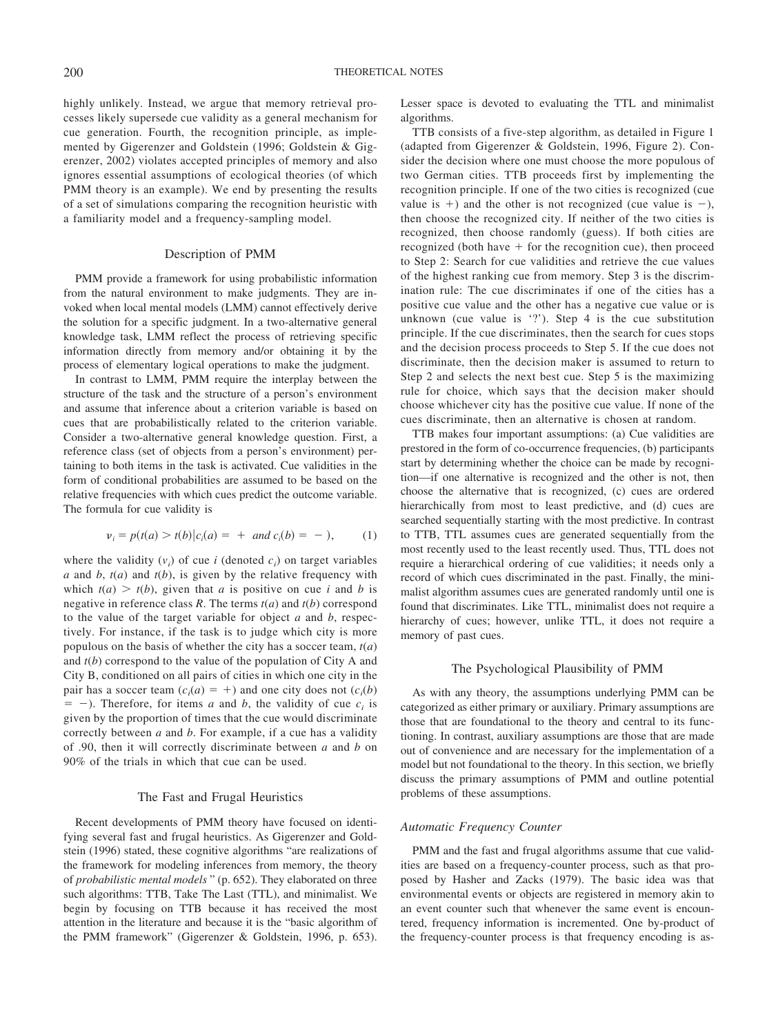highly unlikely. Instead, we argue that memory retrieval processes likely supersede cue validity as a general mechanism for cue generation. Fourth, the recognition principle, as implemented by Gigerenzer and Goldstein (1996; Goldstein & Gigerenzer, 2002) violates accepted principles of memory and also ignores essential assumptions of ecological theories (of which PMM theory is an example). We end by presenting the results of a set of simulations comparing the recognition heuristic with a familiarity model and a frequency-sampling model.

#### Description of PMM

PMM provide a framework for using probabilistic information from the natural environment to make judgments. They are invoked when local mental models (LMM) cannot effectively derive the solution for a specific judgment. In a two-alternative general knowledge task, LMM reflect the process of retrieving specific information directly from memory and/or obtaining it by the process of elementary logical operations to make the judgment.

In contrast to LMM, PMM require the interplay between the structure of the task and the structure of a person's environment and assume that inference about a criterion variable is based on cues that are probabilistically related to the criterion variable. Consider a two-alternative general knowledge question. First, a reference class (set of objects from a person's environment) pertaining to both items in the task is activated. Cue validities in the form of conditional probabilities are assumed to be based on the relative frequencies with which cues predict the outcome variable. The formula for cue validity is

$$
\nu_i = p(t(a) > t(b) | c_i(a) = + \text{ and } c_i(b) = -), \quad (1)
$$

where the validity  $(v_i)$  of cue *i* (denoted  $c_i$ ) on target variables *a* and *b*, *t*(*a*) and *t*(*b*), is given by the relative frequency with which  $t(a) > t(b)$ , given that *a* is positive on cue *i* and *b* is negative in reference class *R*. The terms *t*(*a*) and *t*(*b*) correspond to the value of the target variable for object *a* and *b*, respectively. For instance, if the task is to judge which city is more populous on the basis of whether the city has a soccer team, *t*(*a*) and *t*(*b*) correspond to the value of the population of City A and City B, conditioned on all pairs of cities in which one city in the pair has a soccer team  $(c_i(a) = +)$  and one city does not  $(c_i(b))$  $= -$ ). Therefore, for items *a* and *b*, the validity of cue  $c_i$  is given by the proportion of times that the cue would discriminate correctly between *a* and *b*. For example, if a cue has a validity of .90, then it will correctly discriminate between *a* and *b* on 90% of the trials in which that cue can be used.

#### The Fast and Frugal Heuristics

Recent developments of PMM theory have focused on identifying several fast and frugal heuristics. As Gigerenzer and Goldstein (1996) stated, these cognitive algorithms "are realizations of the framework for modeling inferences from memory, the theory of *probabilistic mental models* " (p. 652). They elaborated on three such algorithms: TTB, Take The Last (TTL), and minimalist. We begin by focusing on TTB because it has received the most attention in the literature and because it is the "basic algorithm of the PMM framework" (Gigerenzer & Goldstein, 1996, p. 653).

Lesser space is devoted to evaluating the TTL and minimalist algorithms.

TTB consists of a five-step algorithm, as detailed in Figure 1 (adapted from Gigerenzer & Goldstein, 1996, Figure 2). Consider the decision where one must choose the more populous of two German cities. TTB proceeds first by implementing the recognition principle. If one of the two cities is recognized (cue value is  $+$ ) and the other is not recognized (cue value is  $-$ ), then choose the recognized city. If neither of the two cities is recognized, then choose randomly (guess). If both cities are recognized (both have  $+$  for the recognition cue), then proceed to Step 2: Search for cue validities and retrieve the cue values of the highest ranking cue from memory. Step 3 is the discrimination rule: The cue discriminates if one of the cities has a positive cue value and the other has a negative cue value or is unknown (cue value is '?'). Step 4 is the cue substitution principle. If the cue discriminates, then the search for cues stops and the decision process proceeds to Step 5. If the cue does not discriminate, then the decision maker is assumed to return to Step 2 and selects the next best cue. Step 5 is the maximizing rule for choice, which says that the decision maker should choose whichever city has the positive cue value. If none of the cues discriminate, then an alternative is chosen at random.

TTB makes four important assumptions: (a) Cue validities are prestored in the form of co-occurrence frequencies, (b) participants start by determining whether the choice can be made by recognition—if one alternative is recognized and the other is not, then choose the alternative that is recognized, (c) cues are ordered hierarchically from most to least predictive, and (d) cues are searched sequentially starting with the most predictive. In contrast to TTB, TTL assumes cues are generated sequentially from the most recently used to the least recently used. Thus, TTL does not require a hierarchical ordering of cue validities; it needs only a record of which cues discriminated in the past. Finally, the minimalist algorithm assumes cues are generated randomly until one is found that discriminates. Like TTL, minimalist does not require a hierarchy of cues; however, unlike TTL, it does not require a memory of past cues.

#### The Psychological Plausibility of PMM

As with any theory, the assumptions underlying PMM can be categorized as either primary or auxiliary. Primary assumptions are those that are foundational to the theory and central to its functioning. In contrast, auxiliary assumptions are those that are made out of convenience and are necessary for the implementation of a model but not foundational to the theory. In this section, we briefly discuss the primary assumptions of PMM and outline potential problems of these assumptions.

#### *Automatic Frequency Counter*

PMM and the fast and frugal algorithms assume that cue validities are based on a frequency-counter process, such as that proposed by Hasher and Zacks (1979). The basic idea was that environmental events or objects are registered in memory akin to an event counter such that whenever the same event is encountered, frequency information is incremented. One by-product of the frequency-counter process is that frequency encoding is as-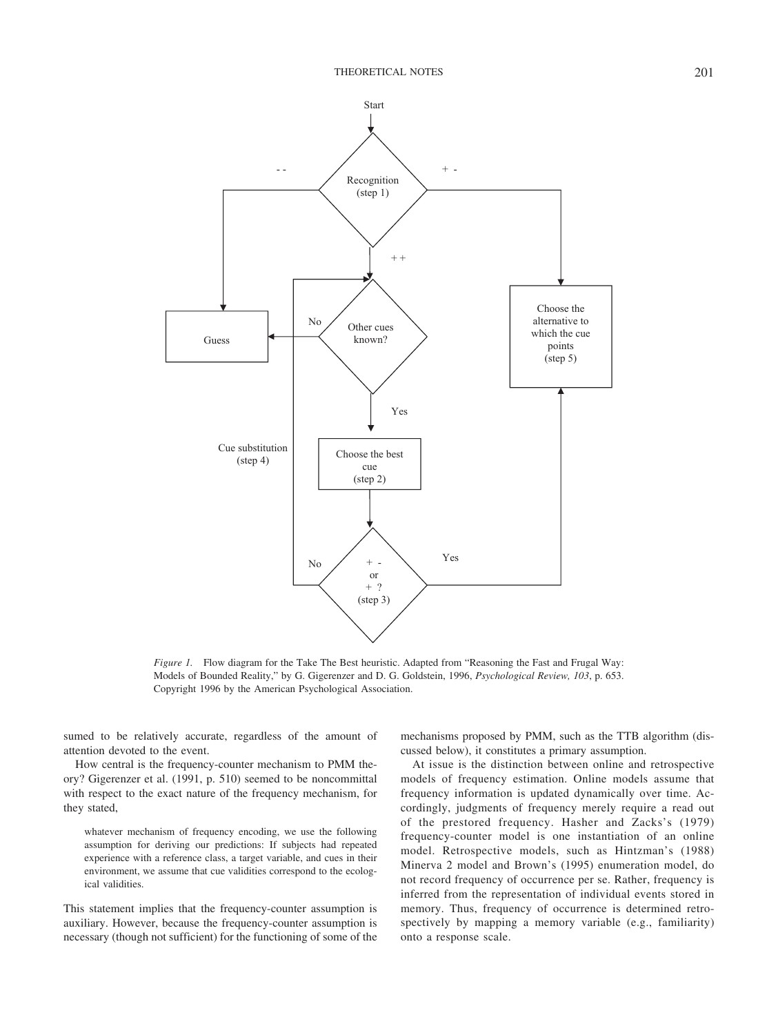

*Figure 1.* Flow diagram for the Take The Best heuristic. Adapted from "Reasoning the Fast and Frugal Way: Models of Bounded Reality," by G. Gigerenzer and D. G. Goldstein, 1996, *Psychological Review, 103*, p. 653. Copyright 1996 by the American Psychological Association.

sumed to be relatively accurate, regardless of the amount of attention devoted to the event.

How central is the frequency-counter mechanism to PMM theory? Gigerenzer et al. (1991, p. 510) seemed to be noncommittal with respect to the exact nature of the frequency mechanism, for they stated,

whatever mechanism of frequency encoding, we use the following assumption for deriving our predictions: If subjects had repeated experience with a reference class, a target variable, and cues in their environment, we assume that cue validities correspond to the ecological validities.

This statement implies that the frequency-counter assumption is auxiliary. However, because the frequency-counter assumption is necessary (though not sufficient) for the functioning of some of the mechanisms proposed by PMM, such as the TTB algorithm (discussed below), it constitutes a primary assumption.

At issue is the distinction between online and retrospective models of frequency estimation. Online models assume that frequency information is updated dynamically over time. Accordingly, judgments of frequency merely require a read out of the prestored frequency. Hasher and Zacks's (1979) frequency-counter model is one instantiation of an online model. Retrospective models, such as Hintzman's (1988) Minerva 2 model and Brown's (1995) enumeration model, do not record frequency of occurrence per se. Rather, frequency is inferred from the representation of individual events stored in memory. Thus, frequency of occurrence is determined retrospectively by mapping a memory variable (e.g., familiarity) onto a response scale.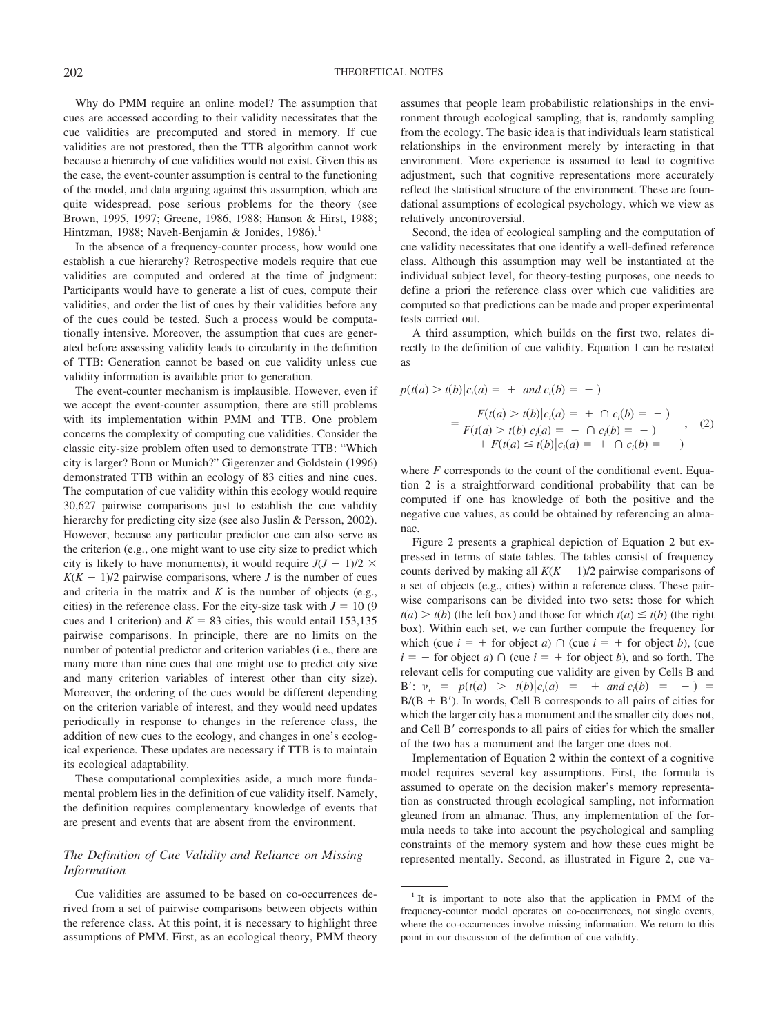Why do PMM require an online model? The assumption that cues are accessed according to their validity necessitates that the cue validities are precomputed and stored in memory. If cue validities are not prestored, then the TTB algorithm cannot work because a hierarchy of cue validities would not exist. Given this as the case, the event-counter assumption is central to the functioning of the model, and data arguing against this assumption, which are quite widespread, pose serious problems for the theory (see Brown, 1995, 1997; Greene, 1986, 1988; Hanson & Hirst, 1988; Hintzman, 1988; Naveh-Benjamin & Jonides, 1986).<sup>1</sup>

In the absence of a frequency-counter process, how would one establish a cue hierarchy? Retrospective models require that cue validities are computed and ordered at the time of judgment: Participants would have to generate a list of cues, compute their validities, and order the list of cues by their validities before any of the cues could be tested. Such a process would be computationally intensive. Moreover, the assumption that cues are generated before assessing validity leads to circularity in the definition of TTB: Generation cannot be based on cue validity unless cue validity information is available prior to generation.

The event-counter mechanism is implausible. However, even if we accept the event-counter assumption, there are still problems with its implementation within PMM and TTB. One problem concerns the complexity of computing cue validities. Consider the classic city-size problem often used to demonstrate TTB: "Which city is larger? Bonn or Munich?" Gigerenzer and Goldstein (1996) demonstrated TTB within an ecology of 83 cities and nine cues. The computation of cue validity within this ecology would require 30,627 pairwise comparisons just to establish the cue validity hierarchy for predicting city size (see also Juslin & Persson, 2002). However, because any particular predictor cue can also serve as the criterion (e.g., one might want to use city size to predict which city is likely to have monuments), it would require  $J(J - 1)/2 \times$  $K(K - 1)/2$  pairwise comparisons, where *J* is the number of cues and criteria in the matrix and  $K$  is the number of objects (e.g., cities) in the reference class. For the city-size task with  $J = 10 (9)$ cues and 1 criterion) and  $K = 83$  cities, this would entail 153,135 pairwise comparisons. In principle, there are no limits on the number of potential predictor and criterion variables (i.e., there are many more than nine cues that one might use to predict city size and many criterion variables of interest other than city size). Moreover, the ordering of the cues would be different depending on the criterion variable of interest, and they would need updates periodically in response to changes in the reference class, the addition of new cues to the ecology, and changes in one's ecological experience. These updates are necessary if TTB is to maintain its ecological adaptability.

These computational complexities aside, a much more fundamental problem lies in the definition of cue validity itself. Namely, the definition requires complementary knowledge of events that are present and events that are absent from the environment.

## *The Definition of Cue Validity and Reliance on Missing Information*

Cue validities are assumed to be based on co-occurrences derived from a set of pairwise comparisons between objects within the reference class. At this point, it is necessary to highlight three assumptions of PMM. First, as an ecological theory, PMM theory assumes that people learn probabilistic relationships in the environment through ecological sampling, that is, randomly sampling from the ecology. The basic idea is that individuals learn statistical relationships in the environment merely by interacting in that environment. More experience is assumed to lead to cognitive adjustment, such that cognitive representations more accurately reflect the statistical structure of the environment. These are foundational assumptions of ecological psychology, which we view as relatively uncontroversial.

Second, the idea of ecological sampling and the computation of cue validity necessitates that one identify a well-defined reference class. Although this assumption may well be instantiated at the individual subject level, for theory-testing purposes, one needs to define a priori the reference class over which cue validities are computed so that predictions can be made and proper experimental tests carried out.

A third assumption, which builds on the first two, relates directly to the definition of cue validity. Equation 1 can be restated as

$$
p(t(a) > t(b)|c_i(a) = + \text{ and } c_i(b) = -)
$$
  
= 
$$
\frac{F(t(a) > t(b)|c_i(a) = + \cap c_i(b) = -)}{F(t(a) > t(b)|c_i(a) = + \cap c_i(b) = -)},
$$
 (2)  
+ 
$$
F(t(a) \le t(b)|c_i(a) = + \cap c_i(b) = -)
$$

where *F* corresponds to the count of the conditional event. Equation 2 is a straightforward conditional probability that can be computed if one has knowledge of both the positive and the negative cue values, as could be obtained by referencing an almanac.

Figure 2 presents a graphical depiction of Equation 2 but expressed in terms of state tables. The tables consist of frequency counts derived by making all  $K(K - 1)/2$  pairwise comparisons of a set of objects (e.g., cities) within a reference class. These pairwise comparisons can be divided into two sets: those for which  $t(a) > t(b)$  (the left box) and those for which  $t(a) \leq t(b)$  (the right box). Within each set, we can further compute the frequency for which (cue  $i = +$  for object *a*)  $\cap$  (cue  $i = +$  for object *b*), (cue  $i = -$  for object *a*)  $\cap$  (cue  $i = +$  for object *b*), and so forth. The relevant cells for computing cue validity are given by Cells B and B':  $v_i = p(t(a) > t(b)|c_i(a) = + \text{ and } c_i(b) = -) =$  $B/(B + B')$ . In words, Cell B corresponds to all pairs of cities for which the larger city has a monument and the smaller city does not, and Cell B' corresponds to all pairs of cities for which the smaller of the two has a monument and the larger one does not.

Implementation of Equation 2 within the context of a cognitive model requires several key assumptions. First, the formula is assumed to operate on the decision maker's memory representation as constructed through ecological sampling, not information gleaned from an almanac. Thus, any implementation of the formula needs to take into account the psychological and sampling constraints of the memory system and how these cues might be represented mentally. Second, as illustrated in Figure 2, cue va-

<sup>&</sup>lt;sup>1</sup> It is important to note also that the application in PMM of the frequency-counter model operates on co-occurrences, not single events, where the co-occurrences involve missing information. We return to this point in our discussion of the definition of cue validity.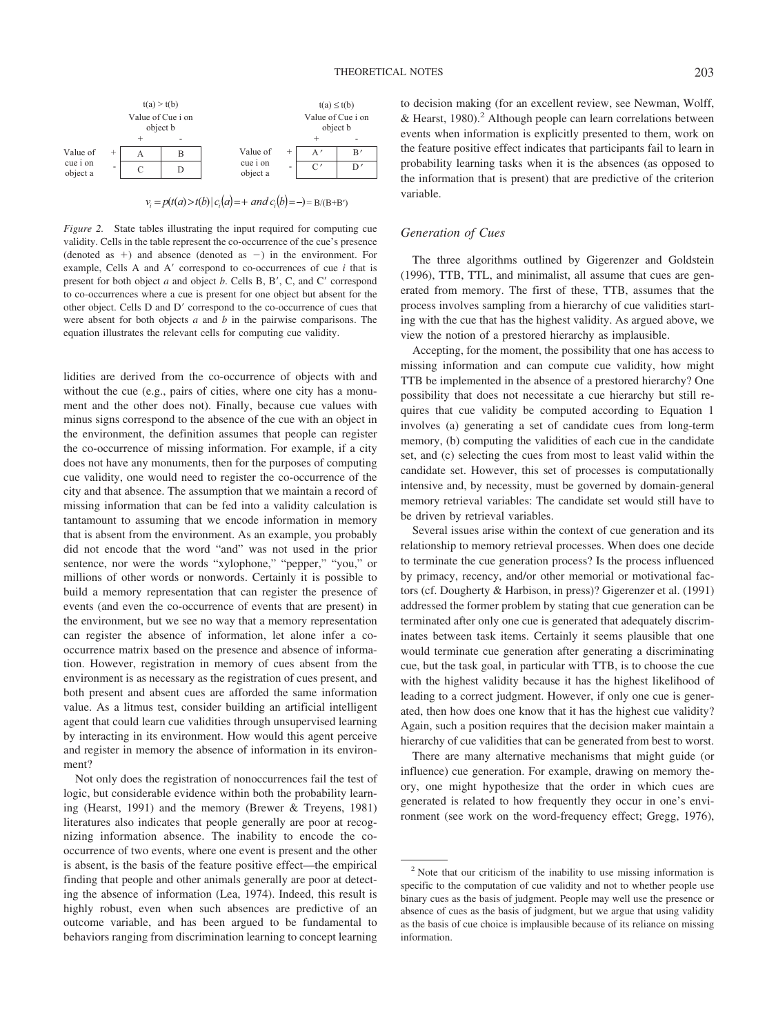

 $v_i = p(t(a) > t(b) | c_i(a) = + \text{ and } c_i(b) = -) = B/(B+B')$ 

*Figure 2.* State tables illustrating the input required for computing cue validity. Cells in the table represent the co-occurrence of the cue's presence (denoted as  $+$ ) and absence (denoted as  $-$ ) in the environment. For example, Cells A and  $A'$  correspond to co-occurrences of cue  $i$  that is present for both object *a* and object *b*. Cells B, B', C, and C' correspond to co-occurrences where a cue is present for one object but absent for the other object. Cells D and D' correspond to the co-occurrence of cues that were absent for both objects *a* and *b* in the pairwise comparisons. The equation illustrates the relevant cells for computing cue validity.

lidities are derived from the co-occurrence of objects with and without the cue (e.g., pairs of cities, where one city has a monument and the other does not). Finally, because cue values with minus signs correspond to the absence of the cue with an object in the environment, the definition assumes that people can register the co-occurrence of missing information. For example, if a city does not have any monuments, then for the purposes of computing cue validity, one would need to register the co-occurrence of the city and that absence. The assumption that we maintain a record of missing information that can be fed into a validity calculation is tantamount to assuming that we encode information in memory that is absent from the environment. As an example, you probably did not encode that the word "and" was not used in the prior sentence, nor were the words "xylophone," "pepper," "you," or millions of other words or nonwords. Certainly it is possible to build a memory representation that can register the presence of events (and even the co-occurrence of events that are present) in the environment, but we see no way that a memory representation can register the absence of information, let alone infer a cooccurrence matrix based on the presence and absence of information. However, registration in memory of cues absent from the environment is as necessary as the registration of cues present, and both present and absent cues are afforded the same information value. As a litmus test, consider building an artificial intelligent agent that could learn cue validities through unsupervised learning by interacting in its environment. How would this agent perceive and register in memory the absence of information in its environment?

Not only does the registration of nonoccurrences fail the test of logic, but considerable evidence within both the probability learning (Hearst, 1991) and the memory (Brewer & Treyens, 1981) literatures also indicates that people generally are poor at recognizing information absence. The inability to encode the cooccurrence of two events, where one event is present and the other is absent, is the basis of the feature positive effect—the empirical finding that people and other animals generally are poor at detecting the absence of information (Lea, 1974). Indeed, this result is highly robust, even when such absences are predictive of an outcome variable, and has been argued to be fundamental to behaviors ranging from discrimination learning to concept learning

to decision making (for an excellent review, see Newman, Wolff, & Hearst, 1980).<sup>2</sup> Although people can learn correlations between events when information is explicitly presented to them, work on the feature positive effect indicates that participants fail to learn in probability learning tasks when it is the absences (as opposed to the information that is present) that are predictive of the criterion variable.

#### *Generation of Cues*

The three algorithms outlined by Gigerenzer and Goldstein (1996), TTB, TTL, and minimalist, all assume that cues are generated from memory. The first of these, TTB, assumes that the process involves sampling from a hierarchy of cue validities starting with the cue that has the highest validity. As argued above, we view the notion of a prestored hierarchy as implausible.

Accepting, for the moment, the possibility that one has access to missing information and can compute cue validity, how might TTB be implemented in the absence of a prestored hierarchy? One possibility that does not necessitate a cue hierarchy but still requires that cue validity be computed according to Equation 1 involves (a) generating a set of candidate cues from long-term memory, (b) computing the validities of each cue in the candidate set, and (c) selecting the cues from most to least valid within the candidate set. However, this set of processes is computationally intensive and, by necessity, must be governed by domain-general memory retrieval variables: The candidate set would still have to be driven by retrieval variables.

Several issues arise within the context of cue generation and its relationship to memory retrieval processes. When does one decide to terminate the cue generation process? Is the process influenced by primacy, recency, and/or other memorial or motivational factors (cf. Dougherty & Harbison, in press)? Gigerenzer et al. (1991) addressed the former problem by stating that cue generation can be terminated after only one cue is generated that adequately discriminates between task items. Certainly it seems plausible that one would terminate cue generation after generating a discriminating cue, but the task goal, in particular with TTB, is to choose the cue with the highest validity because it has the highest likelihood of leading to a correct judgment. However, if only one cue is generated, then how does one know that it has the highest cue validity? Again, such a position requires that the decision maker maintain a hierarchy of cue validities that can be generated from best to worst.

There are many alternative mechanisms that might guide (or influence) cue generation. For example, drawing on memory theory, one might hypothesize that the order in which cues are generated is related to how frequently they occur in one's environment (see work on the word-frequency effect; Gregg, 1976),

<sup>&</sup>lt;sup>2</sup> Note that our criticism of the inability to use missing information is specific to the computation of cue validity and not to whether people use binary cues as the basis of judgment. People may well use the presence or absence of cues as the basis of judgment, but we argue that using validity as the basis of cue choice is implausible because of its reliance on missing information.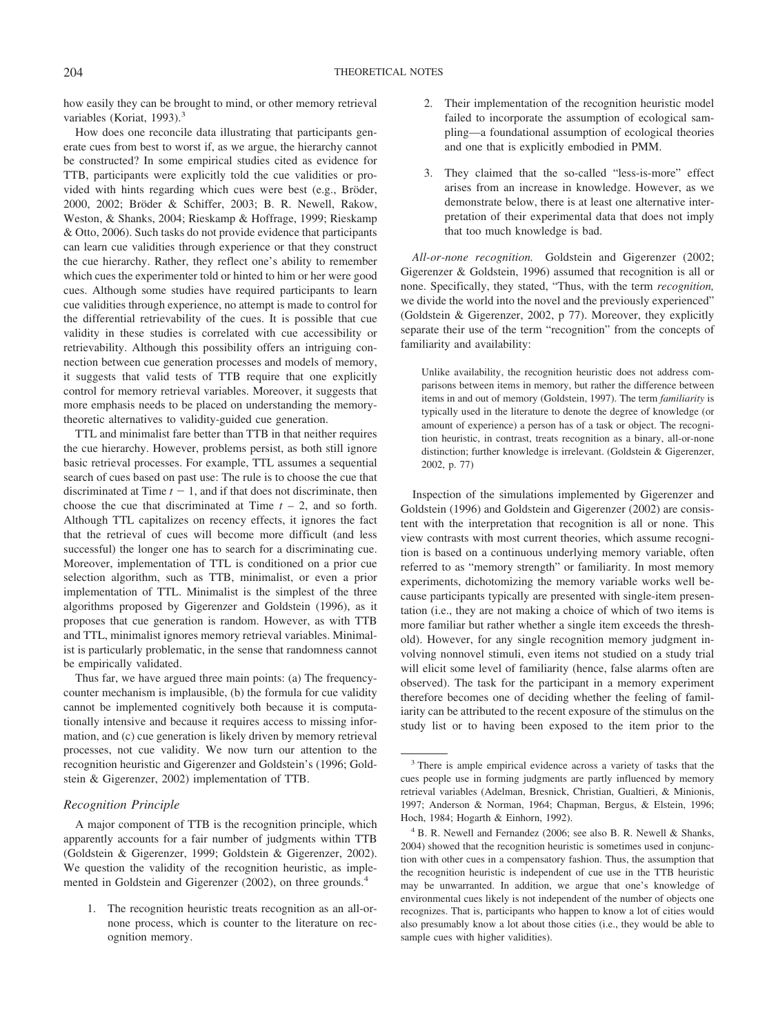how easily they can be brought to mind, or other memory retrieval variables (Koriat, 1993).<sup>3</sup>

How does one reconcile data illustrating that participants generate cues from best to worst if, as we argue, the hierarchy cannot be constructed? In some empirical studies cited as evidence for TTB, participants were explicitly told the cue validities or provided with hints regarding which cues were best (e.g., Bröder, 2000, 2002; Bröder & Schiffer, 2003; B. R. Newell, Rakow, Weston, & Shanks, 2004; Rieskamp & Hoffrage, 1999; Rieskamp & Otto, 2006). Such tasks do not provide evidence that participants can learn cue validities through experience or that they construct the cue hierarchy. Rather, they reflect one's ability to remember which cues the experimenter told or hinted to him or her were good cues. Although some studies have required participants to learn cue validities through experience, no attempt is made to control for the differential retrievability of the cues. It is possible that cue validity in these studies is correlated with cue accessibility or retrievability. Although this possibility offers an intriguing connection between cue generation processes and models of memory, it suggests that valid tests of TTB require that one explicitly control for memory retrieval variables. Moreover, it suggests that more emphasis needs to be placed on understanding the memorytheoretic alternatives to validity-guided cue generation.

TTL and minimalist fare better than TTB in that neither requires the cue hierarchy. However, problems persist, as both still ignore basic retrieval processes. For example, TTL assumes a sequential search of cues based on past use: The rule is to choose the cue that discriminated at Time  $t - 1$ , and if that does not discriminate, then choose the cue that discriminated at Time *t* – 2, and so forth. Although TTL capitalizes on recency effects, it ignores the fact that the retrieval of cues will become more difficult (and less successful) the longer one has to search for a discriminating cue. Moreover, implementation of TTL is conditioned on a prior cue selection algorithm, such as TTB, minimalist, or even a prior implementation of TTL. Minimalist is the simplest of the three algorithms proposed by Gigerenzer and Goldstein (1996), as it proposes that cue generation is random. However, as with TTB and TTL, minimalist ignores memory retrieval variables. Minimalist is particularly problematic, in the sense that randomness cannot be empirically validated.

Thus far, we have argued three main points: (a) The frequencycounter mechanism is implausible, (b) the formula for cue validity cannot be implemented cognitively both because it is computationally intensive and because it requires access to missing information, and (c) cue generation is likely driven by memory retrieval processes, not cue validity. We now turn our attention to the recognition heuristic and Gigerenzer and Goldstein's (1996; Goldstein & Gigerenzer, 2002) implementation of TTB.

#### *Recognition Principle*

A major component of TTB is the recognition principle, which apparently accounts for a fair number of judgments within TTB (Goldstein & Gigerenzer, 1999; Goldstein & Gigerenzer, 2002). We question the validity of the recognition heuristic, as implemented in Goldstein and Gigerenzer (2002), on three grounds.<sup>4</sup>

1. The recognition heuristic treats recognition as an all-ornone process, which is counter to the literature on recognition memory.

- 2. Their implementation of the recognition heuristic model failed to incorporate the assumption of ecological sampling—a foundational assumption of ecological theories and one that is explicitly embodied in PMM.
- 3. They claimed that the so-called "less-is-more" effect arises from an increase in knowledge. However, as we demonstrate below, there is at least one alternative interpretation of their experimental data that does not imply that too much knowledge is bad.

*All-or-none recognition.* Goldstein and Gigerenzer (2002; Gigerenzer & Goldstein, 1996) assumed that recognition is all or none. Specifically, they stated, "Thus, with the term *recognition,* we divide the world into the novel and the previously experienced" (Goldstein & Gigerenzer, 2002, p 77). Moreover, they explicitly separate their use of the term "recognition" from the concepts of familiarity and availability:

Unlike availability, the recognition heuristic does not address comparisons between items in memory, but rather the difference between items in and out of memory (Goldstein, 1997). The term *familiarity* is typically used in the literature to denote the degree of knowledge (or amount of experience) a person has of a task or object. The recognition heuristic, in contrast, treats recognition as a binary, all-or-none distinction; further knowledge is irrelevant. (Goldstein & Gigerenzer, 2002, p. 77)

Inspection of the simulations implemented by Gigerenzer and Goldstein (1996) and Goldstein and Gigerenzer (2002) are consistent with the interpretation that recognition is all or none. This view contrasts with most current theories, which assume recognition is based on a continuous underlying memory variable, often referred to as "memory strength" or familiarity. In most memory experiments, dichotomizing the memory variable works well because participants typically are presented with single-item presentation (i.e., they are not making a choice of which of two items is more familiar but rather whether a single item exceeds the threshold). However, for any single recognition memory judgment involving nonnovel stimuli, even items not studied on a study trial will elicit some level of familiarity (hence, false alarms often are observed). The task for the participant in a memory experiment therefore becomes one of deciding whether the feeling of familiarity can be attributed to the recent exposure of the stimulus on the study list or to having been exposed to the item prior to the

<sup>3</sup> There is ample empirical evidence across a variety of tasks that the cues people use in forming judgments are partly influenced by memory retrieval variables (Adelman, Bresnick, Christian, Gualtieri, & Minionis, 1997; Anderson & Norman, 1964; Chapman, Bergus, & Elstein, 1996; Hoch, 1984; Hogarth & Einhorn, 1992).

 $4$  B. R. Newell and Fernandez (2006; see also B. R. Newell & Shanks, 2004) showed that the recognition heuristic is sometimes used in conjunction with other cues in a compensatory fashion. Thus, the assumption that the recognition heuristic is independent of cue use in the TTB heuristic may be unwarranted. In addition, we argue that one's knowledge of environmental cues likely is not independent of the number of objects one recognizes. That is, participants who happen to know a lot of cities would also presumably know a lot about those cities (i.e., they would be able to sample cues with higher validities).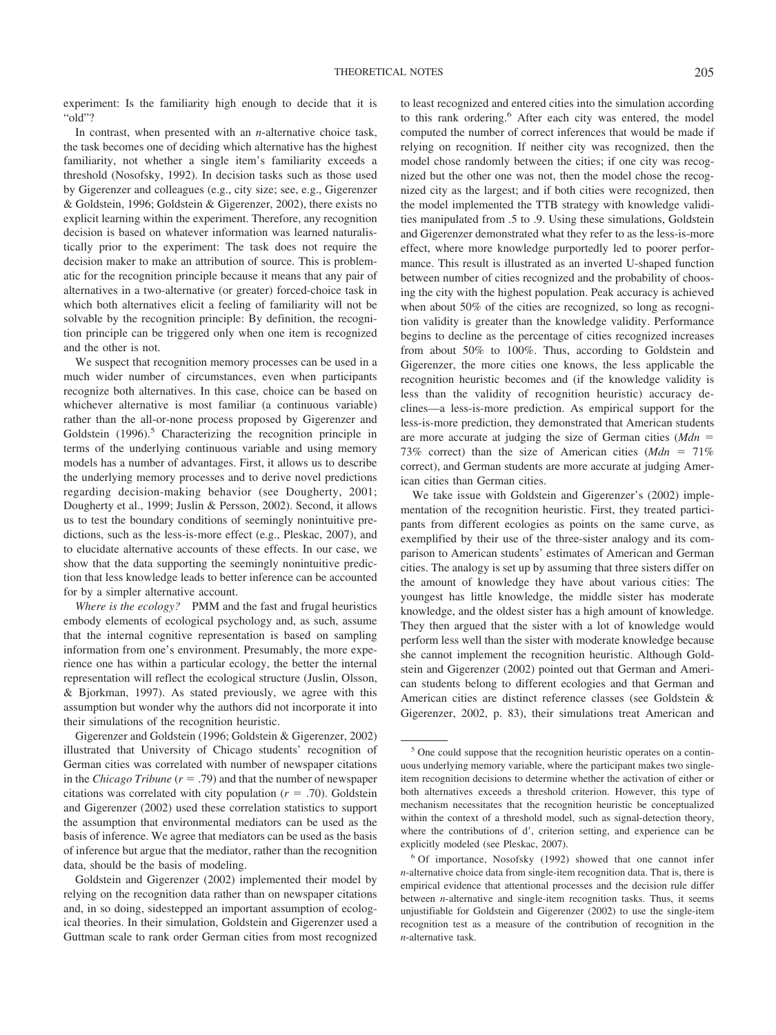experiment: Is the familiarity high enough to decide that it is "old"?

In contrast, when presented with an *n*-alternative choice task, the task becomes one of deciding which alternative has the highest familiarity, not whether a single item's familiarity exceeds a threshold (Nosofsky, 1992). In decision tasks such as those used by Gigerenzer and colleagues (e.g., city size; see, e.g., Gigerenzer & Goldstein, 1996; Goldstein & Gigerenzer, 2002), there exists no explicit learning within the experiment. Therefore, any recognition decision is based on whatever information was learned naturalistically prior to the experiment: The task does not require the decision maker to make an attribution of source. This is problematic for the recognition principle because it means that any pair of alternatives in a two-alternative (or greater) forced-choice task in which both alternatives elicit a feeling of familiarity will not be solvable by the recognition principle: By definition, the recognition principle can be triggered only when one item is recognized and the other is not.

We suspect that recognition memory processes can be used in a much wider number of circumstances, even when participants recognize both alternatives. In this case, choice can be based on whichever alternative is most familiar (a continuous variable) rather than the all-or-none process proposed by Gigerenzer and Goldstein  $(1996)$ <sup>5</sup> Characterizing the recognition principle in terms of the underlying continuous variable and using memory models has a number of advantages. First, it allows us to describe the underlying memory processes and to derive novel predictions regarding decision-making behavior (see Dougherty, 2001; Dougherty et al., 1999; Juslin & Persson, 2002). Second, it allows us to test the boundary conditions of seemingly nonintuitive predictions, such as the less-is-more effect (e.g., Pleskac, 2007), and to elucidate alternative accounts of these effects. In our case, we show that the data supporting the seemingly nonintuitive prediction that less knowledge leads to better inference can be accounted for by a simpler alternative account.

*Where is the ecology?* PMM and the fast and frugal heuristics embody elements of ecological psychology and, as such, assume that the internal cognitive representation is based on sampling information from one's environment. Presumably, the more experience one has within a particular ecology, the better the internal representation will reflect the ecological structure (Juslin, Olsson, & Bjorkman, 1997). As stated previously, we agree with this assumption but wonder why the authors did not incorporate it into their simulations of the recognition heuristic.

Gigerenzer and Goldstein (1996; Goldstein & Gigerenzer, 2002) illustrated that University of Chicago students' recognition of German cities was correlated with number of newspaper citations in the *Chicago Tribune* ( $r = .79$ ) and that the number of newspaper citations was correlated with city population  $(r = .70)$ . Goldstein and Gigerenzer (2002) used these correlation statistics to support the assumption that environmental mediators can be used as the basis of inference. We agree that mediators can be used as the basis of inference but argue that the mediator, rather than the recognition data, should be the basis of modeling.

Goldstein and Gigerenzer (2002) implemented their model by relying on the recognition data rather than on newspaper citations and, in so doing, sidestepped an important assumption of ecological theories. In their simulation, Goldstein and Gigerenzer used a Guttman scale to rank order German cities from most recognized to least recognized and entered cities into the simulation according to this rank ordering.<sup>6</sup> After each city was entered, the model computed the number of correct inferences that would be made if relying on recognition. If neither city was recognized, then the model chose randomly between the cities; if one city was recognized but the other one was not, then the model chose the recognized city as the largest; and if both cities were recognized, then the model implemented the TTB strategy with knowledge validities manipulated from .5 to .9. Using these simulations, Goldstein and Gigerenzer demonstrated what they refer to as the less-is-more effect, where more knowledge purportedly led to poorer performance. This result is illustrated as an inverted U-shaped function between number of cities recognized and the probability of choosing the city with the highest population. Peak accuracy is achieved when about 50% of the cities are recognized, so long as recognition validity is greater than the knowledge validity. Performance begins to decline as the percentage of cities recognized increases from about 50% to 100%. Thus, according to Goldstein and Gigerenzer, the more cities one knows, the less applicable the recognition heuristic becomes and (if the knowledge validity is less than the validity of recognition heuristic) accuracy declines—a less-is-more prediction. As empirical support for the less-is-more prediction, they demonstrated that American students are more accurate at judging the size of German cities (*Mdn* 73% correct) than the size of American cities  $(Mdn = 71\%)$ correct), and German students are more accurate at judging American cities than German cities.

We take issue with Goldstein and Gigerenzer's (2002) implementation of the recognition heuristic. First, they treated participants from different ecologies as points on the same curve, as exemplified by their use of the three-sister analogy and its comparison to American students' estimates of American and German cities. The analogy is set up by assuming that three sisters differ on the amount of knowledge they have about various cities: The youngest has little knowledge, the middle sister has moderate knowledge, and the oldest sister has a high amount of knowledge. They then argued that the sister with a lot of knowledge would perform less well than the sister with moderate knowledge because she cannot implement the recognition heuristic. Although Goldstein and Gigerenzer (2002) pointed out that German and American students belong to different ecologies and that German and American cities are distinct reference classes (see Goldstein & Gigerenzer, 2002, p. 83), their simulations treat American and

<sup>&</sup>lt;sup>5</sup> One could suppose that the recognition heuristic operates on a continuous underlying memory variable, where the participant makes two singleitem recognition decisions to determine whether the activation of either or both alternatives exceeds a threshold criterion. However, this type of mechanism necessitates that the recognition heuristic be conceptualized within the context of a threshold model, such as signal-detection theory, where the contributions of d', criterion setting, and experience can be explicitly modeled (see Pleskac, 2007).

<sup>6</sup> Of importance, Nosofsky (1992) showed that one cannot infer *n*-alternative choice data from single-item recognition data. That is, there is empirical evidence that attentional processes and the decision rule differ between *n*-alternative and single-item recognition tasks. Thus, it seems unjustifiable for Goldstein and Gigerenzer (2002) to use the single-item recognition test as a measure of the contribution of recognition in the *n*-alternative task.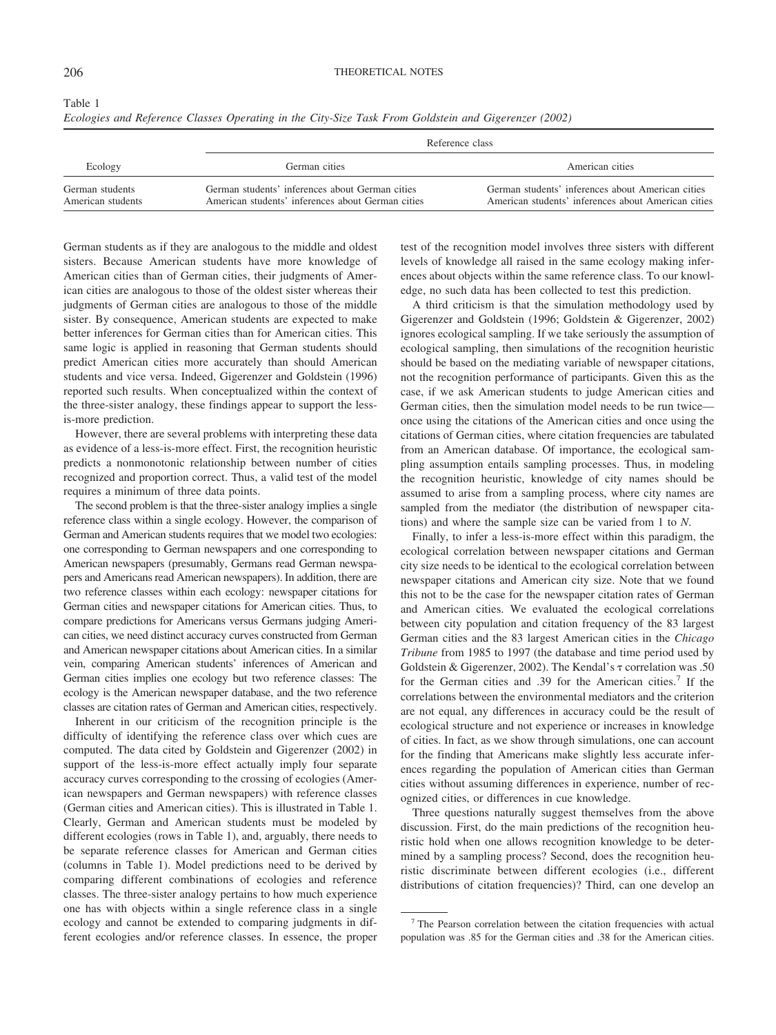| Table 1 |  |  |  |
|---------|--|--|--|
|         |  |  |  |

| Ecologies and Reference Classes Operating in the City-Size Task From Goldstein and Gigerenzer (2002) |  |  |  |  |
|------------------------------------------------------------------------------------------------------|--|--|--|--|
|------------------------------------------------------------------------------------------------------|--|--|--|--|

|                                      | Reference class                                                                                      |                                                                                                          |  |  |
|--------------------------------------|------------------------------------------------------------------------------------------------------|----------------------------------------------------------------------------------------------------------|--|--|
| Ecology                              | German cities                                                                                        | American cities                                                                                          |  |  |
| German students<br>American students | German students' inferences about German cities<br>American students' inferences about German cities | German students' inferences about American cities<br>American students' inferences about American cities |  |  |

German students as if they are analogous to the middle and oldest sisters. Because American students have more knowledge of American cities than of German cities, their judgments of American cities are analogous to those of the oldest sister whereas their judgments of German cities are analogous to those of the middle sister. By consequence, American students are expected to make better inferences for German cities than for American cities. This same logic is applied in reasoning that German students should predict American cities more accurately than should American students and vice versa. Indeed, Gigerenzer and Goldstein (1996) reported such results. When conceptualized within the context of the three-sister analogy, these findings appear to support the lessis-more prediction.

However, there are several problems with interpreting these data as evidence of a less-is-more effect. First, the recognition heuristic predicts a nonmonotonic relationship between number of cities recognized and proportion correct. Thus, a valid test of the model requires a minimum of three data points.

The second problem is that the three-sister analogy implies a single reference class within a single ecology. However, the comparison of German and American students requires that we model two ecologies: one corresponding to German newspapers and one corresponding to American newspapers (presumably, Germans read German newspapers and Americans read American newspapers). In addition, there are two reference classes within each ecology: newspaper citations for German cities and newspaper citations for American cities. Thus, to compare predictions for Americans versus Germans judging American cities, we need distinct accuracy curves constructed from German and American newspaper citations about American cities. In a similar vein, comparing American students' inferences of American and German cities implies one ecology but two reference classes: The ecology is the American newspaper database, and the two reference classes are citation rates of German and American cities, respectively.

Inherent in our criticism of the recognition principle is the difficulty of identifying the reference class over which cues are computed. The data cited by Goldstein and Gigerenzer (2002) in support of the less-is-more effect actually imply four separate accuracy curves corresponding to the crossing of ecologies (American newspapers and German newspapers) with reference classes (German cities and American cities). This is illustrated in Table 1. Clearly, German and American students must be modeled by different ecologies (rows in Table 1), and, arguably, there needs to be separate reference classes for American and German cities (columns in Table 1). Model predictions need to be derived by comparing different combinations of ecologies and reference classes. The three-sister analogy pertains to how much experience one has with objects within a single reference class in a single ecology and cannot be extended to comparing judgments in different ecologies and/or reference classes. In essence, the proper test of the recognition model involves three sisters with different levels of knowledge all raised in the same ecology making inferences about objects within the same reference class. To our knowledge, no such data has been collected to test this prediction.

A third criticism is that the simulation methodology used by Gigerenzer and Goldstein (1996; Goldstein & Gigerenzer, 2002) ignores ecological sampling. If we take seriously the assumption of ecological sampling, then simulations of the recognition heuristic should be based on the mediating variable of newspaper citations, not the recognition performance of participants. Given this as the case, if we ask American students to judge American cities and German cities, then the simulation model needs to be run twice once using the citations of the American cities and once using the citations of German cities, where citation frequencies are tabulated from an American database. Of importance, the ecological sampling assumption entails sampling processes. Thus, in modeling the recognition heuristic, knowledge of city names should be assumed to arise from a sampling process, where city names are sampled from the mediator (the distribution of newspaper citations) and where the sample size can be varied from 1 to *N*.

Finally, to infer a less-is-more effect within this paradigm, the ecological correlation between newspaper citations and German city size needs to be identical to the ecological correlation between newspaper citations and American city size. Note that we found this not to be the case for the newspaper citation rates of German and American cities. We evaluated the ecological correlations between city population and citation frequency of the 83 largest German cities and the 83 largest American cities in the *Chicago Tribune* from 1985 to 1997 (the database and time period used by Goldstein & Gigerenzer, 2002). The Kendal's correlation was .50 for the German cities and .39 for the American cities.<sup>7</sup> If the correlations between the environmental mediators and the criterion are not equal, any differences in accuracy could be the result of ecological structure and not experience or increases in knowledge of cities. In fact, as we show through simulations, one can account for the finding that Americans make slightly less accurate inferences regarding the population of American cities than German cities without assuming differences in experience, number of recognized cities, or differences in cue knowledge.

Three questions naturally suggest themselves from the above discussion. First, do the main predictions of the recognition heuristic hold when one allows recognition knowledge to be determined by a sampling process? Second, does the recognition heuristic discriminate between different ecologies (i.e., different distributions of citation frequencies)? Third, can one develop an

<sup>7</sup> The Pearson correlation between the citation frequencies with actual population was .85 for the German cities and .38 for the American cities.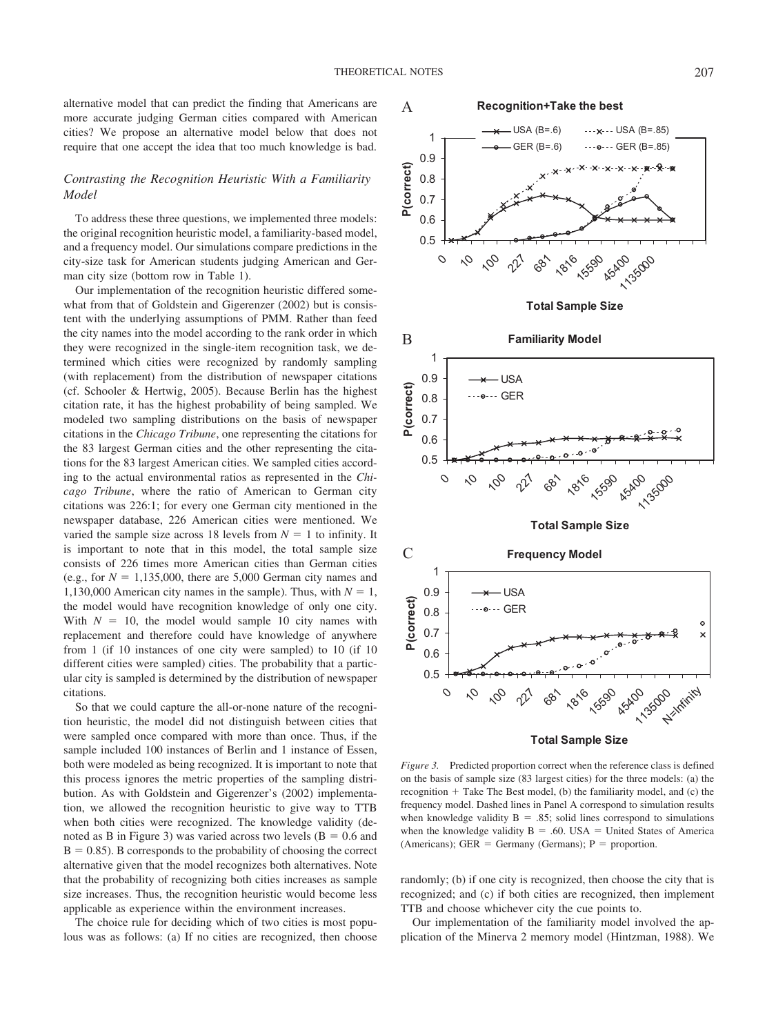alternative model that can predict the finding that Americans are more accurate judging German cities compared with American cities? We propose an alternative model below that does not require that one accept the idea that too much knowledge is bad.

## *Contrasting the Recognition Heuristic With a Familiarity Model*

To address these three questions, we implemented three models: the original recognition heuristic model, a familiarity-based model, and a frequency model. Our simulations compare predictions in the city-size task for American students judging American and German city size (bottom row in Table 1).

Our implementation of the recognition heuristic differed somewhat from that of Goldstein and Gigerenzer (2002) but is consistent with the underlying assumptions of PMM. Rather than feed the city names into the model according to the rank order in which they were recognized in the single-item recognition task, we determined which cities were recognized by randomly sampling (with replacement) from the distribution of newspaper citations (cf. Schooler & Hertwig, 2005). Because Berlin has the highest citation rate, it has the highest probability of being sampled. We modeled two sampling distributions on the basis of newspaper citations in the *Chicago Tribune*, one representing the citations for the 83 largest German cities and the other representing the citations for the 83 largest American cities. We sampled cities according to the actual environmental ratios as represented in the *Chicago Tribune*, where the ratio of American to German city citations was 226:1; for every one German city mentioned in the newspaper database, 226 American cities were mentioned. We varied the sample size across 18 levels from  $N = 1$  to infinity. It is important to note that in this model, the total sample size consists of 226 times more American cities than German cities (e.g., for  $N = 1,135,000$ , there are 5,000 German city names and 1,130,000 American city names in the sample). Thus, with  $N = 1$ , the model would have recognition knowledge of only one city. With  $N = 10$ , the model would sample 10 city names with replacement and therefore could have knowledge of anywhere from 1 (if 10 instances of one city were sampled) to 10 (if 10 different cities were sampled) cities. The probability that a particular city is sampled is determined by the distribution of newspaper citations.

So that we could capture the all-or-none nature of the recognition heuristic, the model did not distinguish between cities that were sampled once compared with more than once. Thus, if the sample included 100 instances of Berlin and 1 instance of Essen, both were modeled as being recognized. It is important to note that this process ignores the metric properties of the sampling distribution. As with Goldstein and Gigerenzer's (2002) implementation, we allowed the recognition heuristic to give way to TTB when both cities were recognized. The knowledge validity (denoted as B in Figure 3) was varied across two levels ( $B = 0.6$  and  $B = 0.85$ . B corresponds to the probability of choosing the correct alternative given that the model recognizes both alternatives. Note that the probability of recognizing both cities increases as sample size increases. Thus, the recognition heuristic would become less applicable as experience within the environment increases.

The choice rule for deciding which of two cities is most populous was as follows: (a) If no cities are recognized, then choose



*Figure 3.* Predicted proportion correct when the reference class is defined on the basis of sample size (83 largest cities) for the three models: (a) the recognition + Take The Best model, (b) the familiarity model, and (c) the frequency model. Dashed lines in Panel A correspond to simulation results when knowledge validity  $B = .85$ ; solid lines correspond to simulations when the knowledge validity  $B = .60$ . USA = United States of America (Americans); GER = Germany (Germans);  $P =$  proportion.

randomly; (b) if one city is recognized, then choose the city that is recognized; and (c) if both cities are recognized, then implement TTB and choose whichever city the cue points to.

Our implementation of the familiarity model involved the application of the Minerva 2 memory model (Hintzman, 1988). We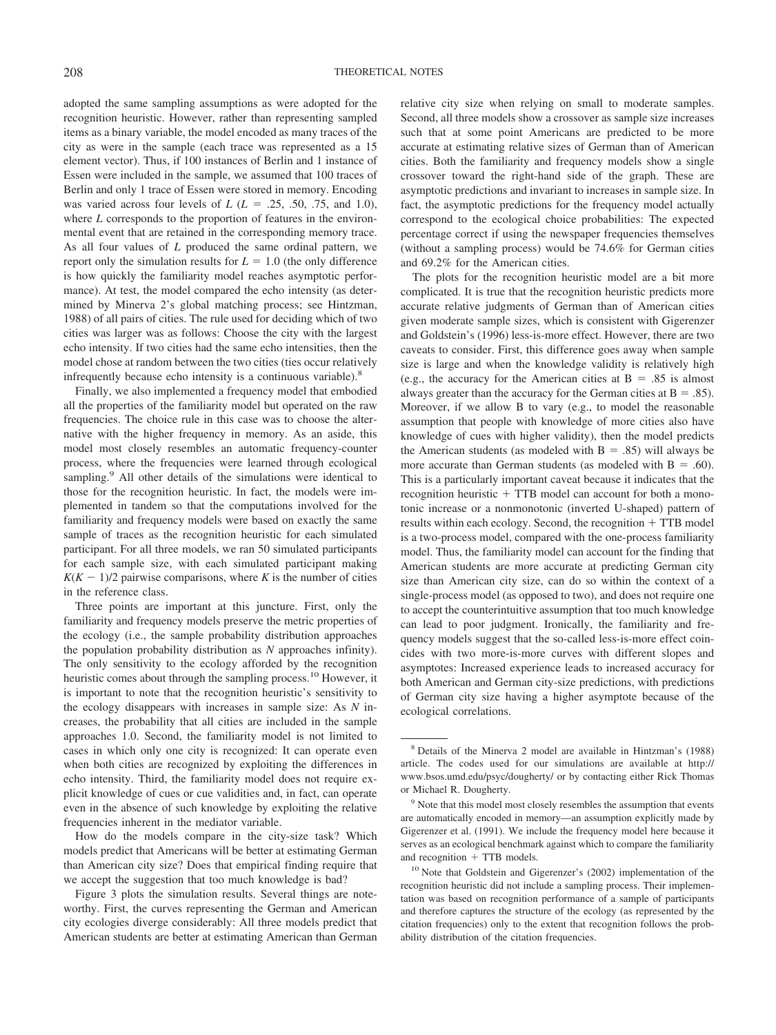adopted the same sampling assumptions as were adopted for the recognition heuristic. However, rather than representing sampled items as a binary variable, the model encoded as many traces of the city as were in the sample (each trace was represented as a 15 element vector). Thus, if 100 instances of Berlin and 1 instance of Essen were included in the sample, we assumed that 100 traces of Berlin and only 1 trace of Essen were stored in memory. Encoding was varied across four levels of  $L$  ( $L = .25, .50, .75,$  and 1.0), where *L* corresponds to the proportion of features in the environmental event that are retained in the corresponding memory trace. As all four values of *L* produced the same ordinal pattern, we report only the simulation results for  $L = 1.0$  (the only difference is how quickly the familiarity model reaches asymptotic performance). At test, the model compared the echo intensity (as determined by Minerva 2's global matching process; see Hintzman, 1988) of all pairs of cities. The rule used for deciding which of two cities was larger was as follows: Choose the city with the largest echo intensity. If two cities had the same echo intensities, then the model chose at random between the two cities (ties occur relatively infrequently because echo intensity is a continuous variable).<sup>8</sup>

Finally, we also implemented a frequency model that embodied all the properties of the familiarity model but operated on the raw frequencies. The choice rule in this case was to choose the alternative with the higher frequency in memory. As an aside, this model most closely resembles an automatic frequency-counter process, where the frequencies were learned through ecological sampling.<sup>9</sup> All other details of the simulations were identical to those for the recognition heuristic. In fact, the models were implemented in tandem so that the computations involved for the familiarity and frequency models were based on exactly the same sample of traces as the recognition heuristic for each simulated participant. For all three models, we ran 50 simulated participants for each sample size, with each simulated participant making  $K(K - 1)/2$  pairwise comparisons, where *K* is the number of cities in the reference class.

Three points are important at this juncture. First, only the familiarity and frequency models preserve the metric properties of the ecology (i.e., the sample probability distribution approaches the population probability distribution as *N* approaches infinity). The only sensitivity to the ecology afforded by the recognition heuristic comes about through the sampling process.<sup>10</sup> However, it is important to note that the recognition heuristic's sensitivity to the ecology disappears with increases in sample size: As *N* increases, the probability that all cities are included in the sample approaches 1.0. Second, the familiarity model is not limited to cases in which only one city is recognized: It can operate even when both cities are recognized by exploiting the differences in echo intensity. Third, the familiarity model does not require explicit knowledge of cues or cue validities and, in fact, can operate even in the absence of such knowledge by exploiting the relative frequencies inherent in the mediator variable.

How do the models compare in the city-size task? Which models predict that Americans will be better at estimating German than American city size? Does that empirical finding require that we accept the suggestion that too much knowledge is bad?

Figure 3 plots the simulation results. Several things are noteworthy. First, the curves representing the German and American city ecologies diverge considerably: All three models predict that American students are better at estimating American than German relative city size when relying on small to moderate samples. Second, all three models show a crossover as sample size increases such that at some point Americans are predicted to be more accurate at estimating relative sizes of German than of American cities. Both the familiarity and frequency models show a single crossover toward the right-hand side of the graph. These are asymptotic predictions and invariant to increases in sample size. In fact, the asymptotic predictions for the frequency model actually correspond to the ecological choice probabilities: The expected percentage correct if using the newspaper frequencies themselves (without a sampling process) would be 74.6% for German cities and 69.2% for the American cities.

The plots for the recognition heuristic model are a bit more complicated. It is true that the recognition heuristic predicts more accurate relative judgments of German than of American cities given moderate sample sizes, which is consistent with Gigerenzer and Goldstein's (1996) less-is-more effect. However, there are two caveats to consider. First, this difference goes away when sample size is large and when the knowledge validity is relatively high (e.g., the accuracy for the American cities at  $B = .85$  is almost always greater than the accuracy for the German cities at  $B = .85$ ). Moreover, if we allow B to vary (e.g., to model the reasonable assumption that people with knowledge of more cities also have knowledge of cues with higher validity), then the model predicts the American students (as modeled with  $B = .85$ ) will always be more accurate than German students (as modeled with  $B = .60$ ). This is a particularly important caveat because it indicates that the  $recognition heuristic + TTB model can account for both a mono$ tonic increase or a nonmonotonic (inverted U-shaped) pattern of results within each ecology. Second, the recognition + TTB model is a two-process model, compared with the one-process familiarity model. Thus, the familiarity model can account for the finding that American students are more accurate at predicting German city size than American city size, can do so within the context of a single-process model (as opposed to two), and does not require one to accept the counterintuitive assumption that too much knowledge can lead to poor judgment. Ironically, the familiarity and frequency models suggest that the so-called less-is-more effect coincides with two more-is-more curves with different slopes and asymptotes: Increased experience leads to increased accuracy for both American and German city-size predictions, with predictions of German city size having a higher asymptote because of the ecological correlations.

<sup>8</sup> Details of the Minerva 2 model are available in Hintzman's (1988) article. The codes used for our simulations are available at http:// www.bsos.umd.edu/psyc/dougherty/ or by contacting either Rick Thomas or Michael R. Dougherty.

<sup>&</sup>lt;sup>9</sup> Note that this model most closely resembles the assumption that events are automatically encoded in memory—an assumption explicitly made by Gigerenzer et al. (1991). We include the frequency model here because it serves as an ecological benchmark against which to compare the familiarity and recognition + TTB models.

<sup>&</sup>lt;sup>10</sup> Note that Goldstein and Gigerenzer's (2002) implementation of the recognition heuristic did not include a sampling process. Their implementation was based on recognition performance of a sample of participants and therefore captures the structure of the ecology (as represented by the citation frequencies) only to the extent that recognition follows the probability distribution of the citation frequencies.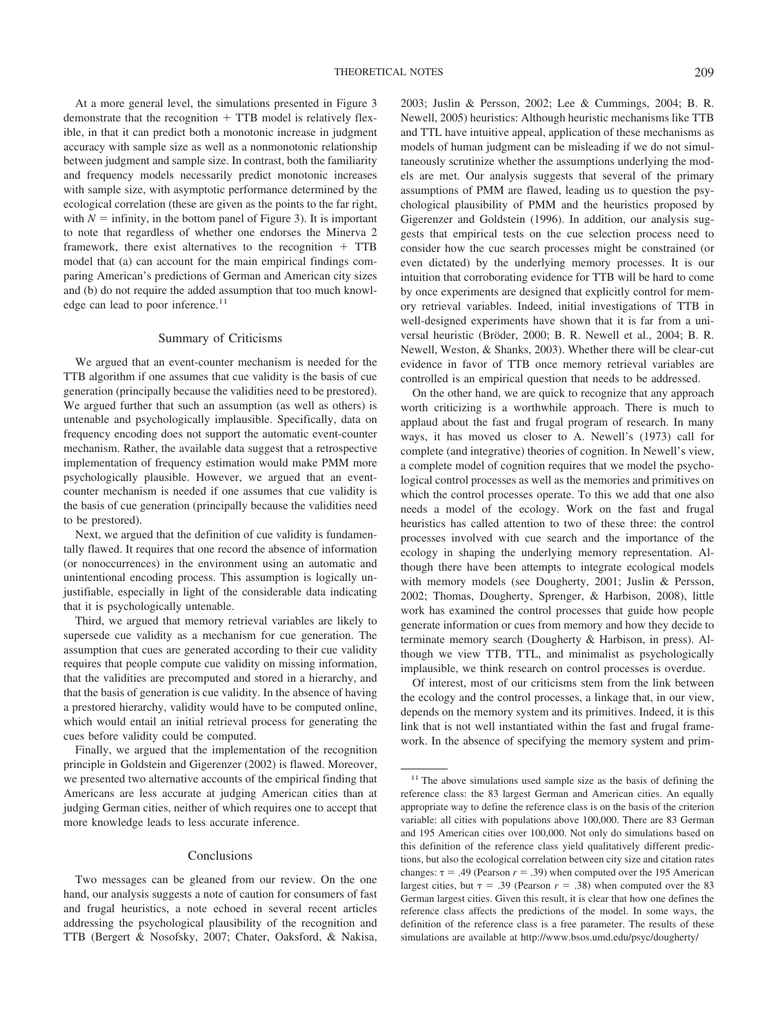At a more general level, the simulations presented in Figure 3 demonstrate that the recognition  $+$  TTB model is relatively flexible, in that it can predict both a monotonic increase in judgment accuracy with sample size as well as a nonmonotonic relationship between judgment and sample size. In contrast, both the familiarity and frequency models necessarily predict monotonic increases with sample size, with asymptotic performance determined by the ecological correlation (these are given as the points to the far right, with  $N =$  infinity, in the bottom panel of Figure 3). It is important to note that regardless of whether one endorses the Minerva 2 framework, there exist alternatives to the recognition  $+$  TTB model that (a) can account for the main empirical findings comparing American's predictions of German and American city sizes and (b) do not require the added assumption that too much knowledge can lead to poor inference.<sup>11</sup>

## Summary of Criticisms

We argued that an event-counter mechanism is needed for the TTB algorithm if one assumes that cue validity is the basis of cue generation (principally because the validities need to be prestored). We argued further that such an assumption (as well as others) is untenable and psychologically implausible. Specifically, data on frequency encoding does not support the automatic event-counter mechanism. Rather, the available data suggest that a retrospective implementation of frequency estimation would make PMM more psychologically plausible. However, we argued that an eventcounter mechanism is needed if one assumes that cue validity is the basis of cue generation (principally because the validities need to be prestored).

Next, we argued that the definition of cue validity is fundamentally flawed. It requires that one record the absence of information (or nonoccurrences) in the environment using an automatic and unintentional encoding process. This assumption is logically unjustifiable, especially in light of the considerable data indicating that it is psychologically untenable.

Third, we argued that memory retrieval variables are likely to supersede cue validity as a mechanism for cue generation. The assumption that cues are generated according to their cue validity requires that people compute cue validity on missing information, that the validities are precomputed and stored in a hierarchy, and that the basis of generation is cue validity. In the absence of having a prestored hierarchy, validity would have to be computed online, which would entail an initial retrieval process for generating the cues before validity could be computed.

Finally, we argued that the implementation of the recognition principle in Goldstein and Gigerenzer (2002) is flawed. Moreover, we presented two alternative accounts of the empirical finding that Americans are less accurate at judging American cities than at judging German cities, neither of which requires one to accept that more knowledge leads to less accurate inference.

#### Conclusions

Two messages can be gleaned from our review. On the one hand, our analysis suggests a note of caution for consumers of fast and frugal heuristics, a note echoed in several recent articles addressing the psychological plausibility of the recognition and TTB (Bergert & Nosofsky, 2007; Chater, Oaksford, & Nakisa, 2003; Juslin & Persson, 2002; Lee & Cummings, 2004; B. R. Newell, 2005) heuristics: Although heuristic mechanisms like TTB and TTL have intuitive appeal, application of these mechanisms as models of human judgment can be misleading if we do not simultaneously scrutinize whether the assumptions underlying the models are met. Our analysis suggests that several of the primary assumptions of PMM are flawed, leading us to question the psychological plausibility of PMM and the heuristics proposed by Gigerenzer and Goldstein (1996). In addition, our analysis suggests that empirical tests on the cue selection process need to consider how the cue search processes might be constrained (or even dictated) by the underlying memory processes. It is our intuition that corroborating evidence for TTB will be hard to come by once experiments are designed that explicitly control for memory retrieval variables. Indeed, initial investigations of TTB in well-designed experiments have shown that it is far from a universal heuristic (Bröder, 2000; B. R. Newell et al., 2004; B. R. Newell, Weston, & Shanks, 2003). Whether there will be clear-cut evidence in favor of TTB once memory retrieval variables are controlled is an empirical question that needs to be addressed.

On the other hand, we are quick to recognize that any approach worth criticizing is a worthwhile approach. There is much to applaud about the fast and frugal program of research. In many ways, it has moved us closer to A. Newell's (1973) call for complete (and integrative) theories of cognition. In Newell's view, a complete model of cognition requires that we model the psychological control processes as well as the memories and primitives on which the control processes operate. To this we add that one also needs a model of the ecology. Work on the fast and frugal heuristics has called attention to two of these three: the control processes involved with cue search and the importance of the ecology in shaping the underlying memory representation. Although there have been attempts to integrate ecological models with memory models (see Dougherty, 2001; Juslin & Persson, 2002; Thomas, Dougherty, Sprenger, & Harbison, 2008), little work has examined the control processes that guide how people generate information or cues from memory and how they decide to terminate memory search (Dougherty & Harbison, in press). Although we view TTB, TTL, and minimalist as psychologically implausible, we think research on control processes is overdue.

Of interest, most of our criticisms stem from the link between the ecology and the control processes, a linkage that, in our view, depends on the memory system and its primitives. Indeed, it is this link that is not well instantiated within the fast and frugal framework. In the absence of specifying the memory system and prim-

 $11$  The above simulations used sample size as the basis of defining the reference class: the 83 largest German and American cities. An equally appropriate way to define the reference class is on the basis of the criterion variable: all cities with populations above 100,000. There are 83 German and 195 American cities over 100,000. Not only do simulations based on this definition of the reference class yield qualitatively different predictions, but also the ecological correlation between city size and citation rates changes:  $\tau = .49$  (Pearson  $r = .39$ ) when computed over the 195 American largest cities, but  $\tau = .39$  (Pearson  $r = .38$ ) when computed over the 83 German largest cities. Given this result, it is clear that how one defines the reference class affects the predictions of the model. In some ways, the definition of the reference class is a free parameter. The results of these simulations are available at http://www.bsos.umd.edu/psyc/dougherty/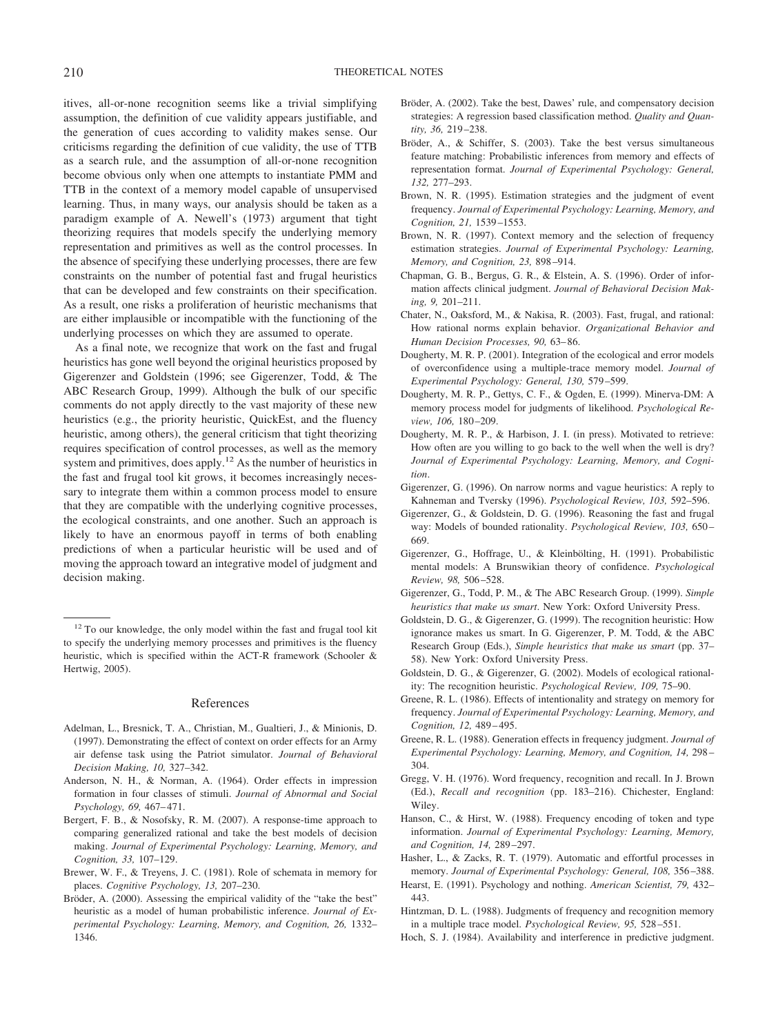itives, all-or-none recognition seems like a trivial simplifying assumption, the definition of cue validity appears justifiable, and the generation of cues according to validity makes sense. Our criticisms regarding the definition of cue validity, the use of TTB as a search rule, and the assumption of all-or-none recognition become obvious only when one attempts to instantiate PMM and TTB in the context of a memory model capable of unsupervised learning. Thus, in many ways, our analysis should be taken as a paradigm example of A. Newell's (1973) argument that tight theorizing requires that models specify the underlying memory representation and primitives as well as the control processes. In the absence of specifying these underlying processes, there are few constraints on the number of potential fast and frugal heuristics that can be developed and few constraints on their specification. As a result, one risks a proliferation of heuristic mechanisms that are either implausible or incompatible with the functioning of the underlying processes on which they are assumed to operate.

As a final note, we recognize that work on the fast and frugal heuristics has gone well beyond the original heuristics proposed by Gigerenzer and Goldstein (1996; see Gigerenzer, Todd, & The ABC Research Group, 1999). Although the bulk of our specific comments do not apply directly to the vast majority of these new heuristics (e.g., the priority heuristic, QuickEst, and the fluency heuristic, among others), the general criticism that tight theorizing requires specification of control processes, as well as the memory system and primitives, does apply.<sup>12</sup> As the number of heuristics in the fast and frugal tool kit grows, it becomes increasingly necessary to integrate them within a common process model to ensure that they are compatible with the underlying cognitive processes, the ecological constraints, and one another. Such an approach is likely to have an enormous payoff in terms of both enabling predictions of when a particular heuristic will be used and of moving the approach toward an integrative model of judgment and decision making.

<sup>12</sup> To our knowledge, the only model within the fast and frugal tool kit to specify the underlying memory processes and primitives is the fluency heuristic, which is specified within the ACT-R framework (Schooler & Hertwig, 2005).

#### References

- Adelman, L., Bresnick, T. A., Christian, M., Gualtieri, J., & Minionis, D. (1997). Demonstrating the effect of context on order effects for an Army air defense task using the Patriot simulator. *Journal of Behavioral Decision Making, 10,* 327–342.
- Anderson, N. H., & Norman, A. (1964). Order effects in impression formation in four classes of stimuli. *Journal of Abnormal and Social Psychology, 69,* 467– 471.
- Bergert, F. B., & Nosofsky, R. M. (2007). A response-time approach to comparing generalized rational and take the best models of decision making. *Journal of Experimental Psychology: Learning, Memory, and Cognition, 33,* 107–129.
- Brewer, W. F., & Treyens, J. C. (1981). Role of schemata in memory for places. *Cognitive Psychology, 13,* 207–230.
- Bröder, A. (2000). Assessing the empirical validity of the "take the best" heuristic as a model of human probabilistic inference. *Journal of Experimental Psychology: Learning, Memory, and Cognition, 26,* 1332– 1346.
- Bröder, A. (2002). Take the best, Dawes' rule, and compensatory decision strategies: A regression based classification method. *Quality and Quantity, 36,* 219 –238.
- Bröder, A., & Schiffer, S. (2003). Take the best versus simultaneous feature matching: Probabilistic inferences from memory and effects of representation format. *Journal of Experimental Psychology: General, 132,* 277–293.
- Brown, N. R. (1995). Estimation strategies and the judgment of event frequency. *Journal of Experimental Psychology: Learning, Memory, and Cognition, 21,* 1539 –1553.
- Brown, N. R. (1997). Context memory and the selection of frequency estimation strategies. *Journal of Experimental Psychology: Learning, Memory, and Cognition, 23,* 898 –914.
- Chapman, G. B., Bergus, G. R., & Elstein, A. S. (1996). Order of information affects clinical judgment. *Journal of Behavioral Decision Making, 9,* 201–211.
- Chater, N., Oaksford, M., & Nakisa, R. (2003). Fast, frugal, and rational: How rational norms explain behavior. *Organizational Behavior and Human Decision Processes, 90,* 63– 86.
- Dougherty, M. R. P. (2001). Integration of the ecological and error models of overconfidence using a multiple-trace memory model. *Journal of Experimental Psychology: General, 130,* 579 –599.
- Dougherty, M. R. P., Gettys, C. F., & Ogden, E. (1999). Minerva-DM: A memory process model for judgments of likelihood. *Psychological Review, 106,* 180 –209.
- Dougherty, M. R. P., & Harbison, J. I. (in press). Motivated to retrieve: How often are you willing to go back to the well when the well is dry? *Journal of Experimental Psychology: Learning, Memory, and Cognition*.
- Gigerenzer, G. (1996). On narrow norms and vague heuristics: A reply to Kahneman and Tversky (1996). *Psychological Review, 103,* 592–596.
- Gigerenzer, G., & Goldstein, D. G. (1996). Reasoning the fast and frugal way: Models of bounded rationality. *Psychological Review, 103,* 650 – 669.
- Gigerenzer, G., Hoffrage, U., & Kleinbölting, H. (1991). Probabilistic mental models: A Brunswikian theory of confidence. *Psychological Review, 98,* 506 –528.
- Gigerenzer, G., Todd, P. M., & The ABC Research Group. (1999). *Simple heuristics that make us smart*. New York: Oxford University Press.
- Goldstein, D. G., & Gigerenzer, G. (1999). The recognition heuristic: How ignorance makes us smart. In G. Gigerenzer, P. M. Todd, & the ABC Research Group (Eds.), *Simple heuristics that make us smart* (pp. 37– 58). New York: Oxford University Press.
- Goldstein, D. G., & Gigerenzer, G. (2002). Models of ecological rationality: The recognition heuristic. *Psychological Review, 109,* 75–90.
- Greene, R. L. (1986). Effects of intentionality and strategy on memory for frequency. *Journal of Experimental Psychology: Learning, Memory, and Cognition, 12,* 489 – 495.
- Greene, R. L. (1988). Generation effects in frequency judgment. *Journal of Experimental Psychology: Learning, Memory, and Cognition, 14,* 298 – 304.
- Gregg, V. H. (1976). Word frequency, recognition and recall. In J. Brown (Ed.), *Recall and recognition* (pp. 183–216). Chichester, England: Wiley.
- Hanson, C., & Hirst, W. (1988). Frequency encoding of token and type information. *Journal of Experimental Psychology: Learning, Memory, and Cognition, 14,* 289 –297.
- Hasher, L., & Zacks, R. T. (1979). Automatic and effortful processes in memory. *Journal of Experimental Psychology: General, 108,* 356 –388.
- Hearst, E. (1991). Psychology and nothing. *American Scientist, 79,* 432– 443.
- Hintzman, D. L. (1988). Judgments of frequency and recognition memory in a multiple trace model. *Psychological Review, 95,* 528 –551.
- Hoch, S. J. (1984). Availability and interference in predictive judgment.